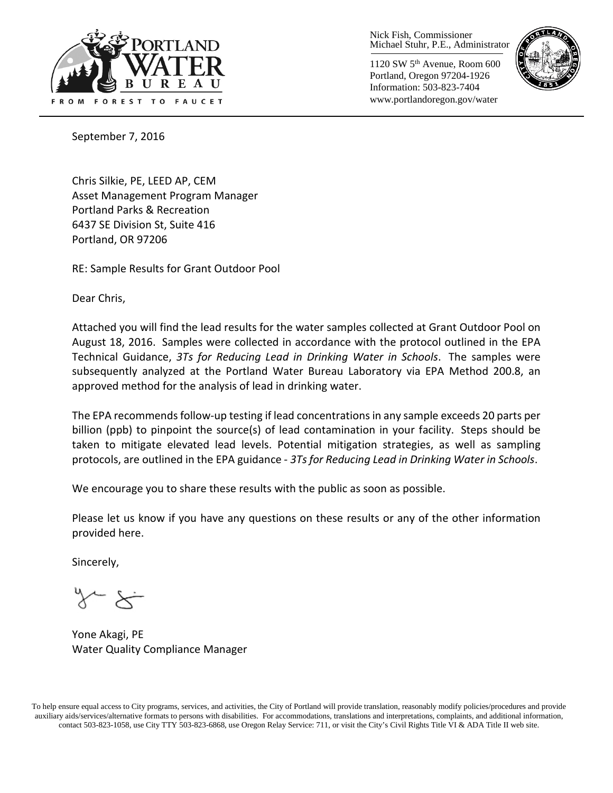

Nick Fish, Commissioner Michael Stuhr, P.E., Administrator

1120 SW 5th Avenue, Room 600 Portland, Oregon 97204-1926 Information: 503-823-7404 www.portlandoregon.gov/water



September 7, 2016

Chris Silkie, PE, LEED AP, CEM Asset Management Program Manager Portland Parks & Recreation 6437 SE Division St, Suite 416 Portland, OR 97206

RE: Sample Results for Grant Outdoor Pool

Dear Chris,

Attached you will find the lead results for the water samples collected at Grant Outdoor Pool on August 18, 2016. Samples were collected in accordance with the protocol outlined in the EPA Technical Guidance, *3Ts for Reducing Lead in Drinking Water in Schools*. The samples were subsequently analyzed at the Portland Water Bureau Laboratory via EPA Method 200.8, an approved method for the analysis of lead in drinking water.

The EPA recommends follow-up testing if lead concentrations in any sample exceeds 20 parts per billion (ppb) to pinpoint the source(s) of lead contamination in your facility. Steps should be taken to mitigate elevated lead levels. Potential mitigation strategies, as well as sampling protocols, are outlined in the EPA guidance - *3Ts for Reducing Lead in Drinking Water in Schools*.

We encourage you to share these results with the public as soon as possible.

Please let us know if you have any questions on these results or any of the other information provided here.

Sincerely,

Yone Akagi, PE Water Quality Compliance Manager

To help ensure equal access to City programs, services, and activities, the City of Portland will provide translation, reasonably modify policies/procedures and provide auxiliary aids/services/alternative formats to persons with disabilities. For accommodations, translations and interpretations, complaints, and additional information, contact 503-823-1058, use City TTY 503-823-6868, use Oregon Relay Service: 711, or visi[t the City's Civil Rights Title VI & ADA Title II web site.](http://www.portlandoregon.gov/oehr/66458)